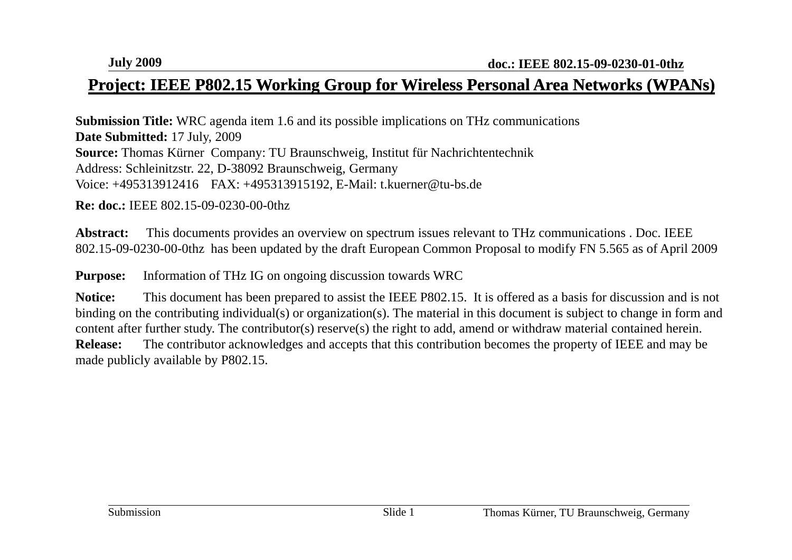#### Project: IEEE P802.15 Working Group for Wireless Personal Area Networks (WPANs)

**Submission Title:** WRC agenda item 1.6 and its possible implications on THz communications **Date Submitted:** 17 July, 2009 **Source:** Thomas Kürner Company: TU Braunschweig, Institut für Nachrichtentechnik Address: Schleinitzstr. 22, D-38092 Braunschweig, Germany Voice: +495313912416 FAX: +495313915192, E-Mail: t.kuerner@tu-bs.de

**Re: doc.:** IEEE 802.15-09-0230-00-0thz

**Abstract:** This documents provides an overview on spectrum issues relevant to THz communications . Doc. IEEE 802.15-09-0230-00-0thz has been updated by the draft European Common Proposal to modify FN 5.565 as of April 2009

**Purpose:** Information of THz IG on ongoing discussion towards WRC

**Notice:** This document has been prepared to assist the IEEE P802.15. It is offered as a basis for discussion and is not binding on the contributing individual(s) or organization(s). The material in this document is subject to change in form and content after further study. The contributor(s) reserve(s) the right to add, amend or withdraw material contained herein. **Release:**The contributor acknowledges and accepts that this contribution becomes the property of IEEE and may be made publicly available by P802.15.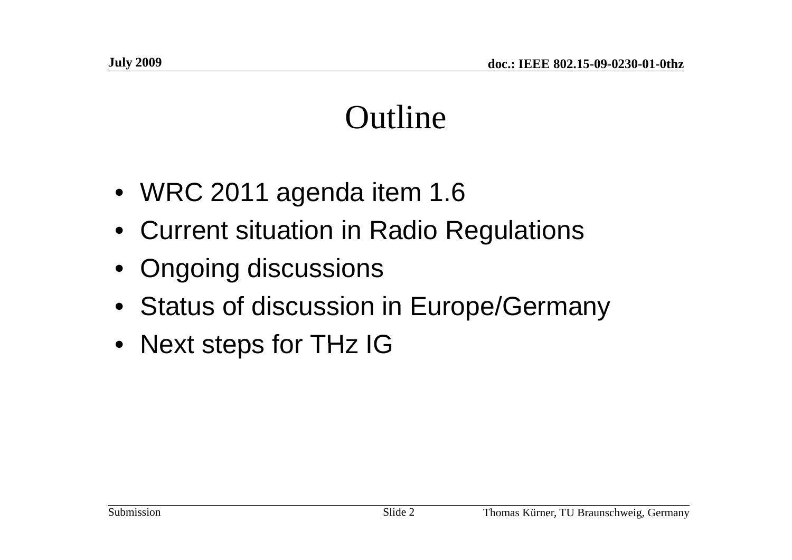#### Outline

- WRC 2011 agenda item 1.6
- Current situation in Radio Regulations
- Ongoing discussions
- Status of discussion in Europe/Germany
- Next steps for THz IG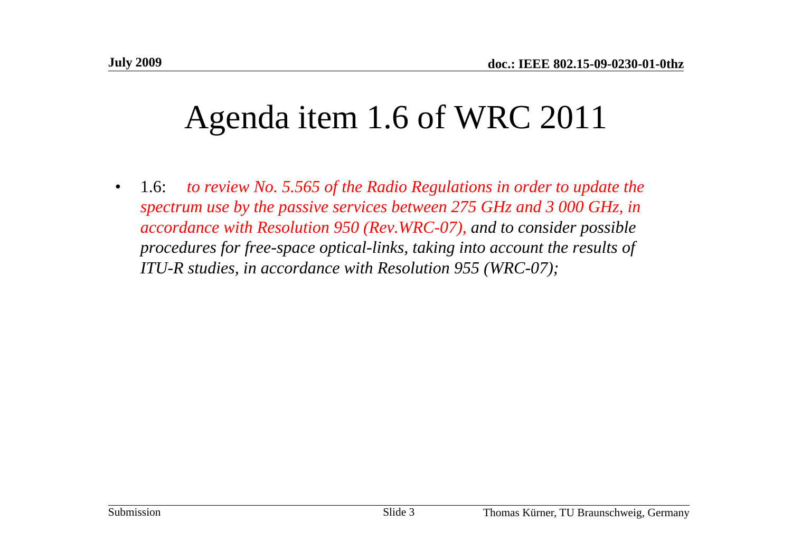# Agenda item 1.6 of WRC 2011

 $\bullet$  1.6: *to review No. 5.565 of the Radio Regulations in order to update the spectrum use by the passive services between 275 GHz and 3 000 GHz, in accordance with Resolution 950 (Rev.WRC-07), and to consider possible procedures for free-space optical-links, taking into account the results of ITU-R studies, in accordance with Resolution 955 (WRC-07);*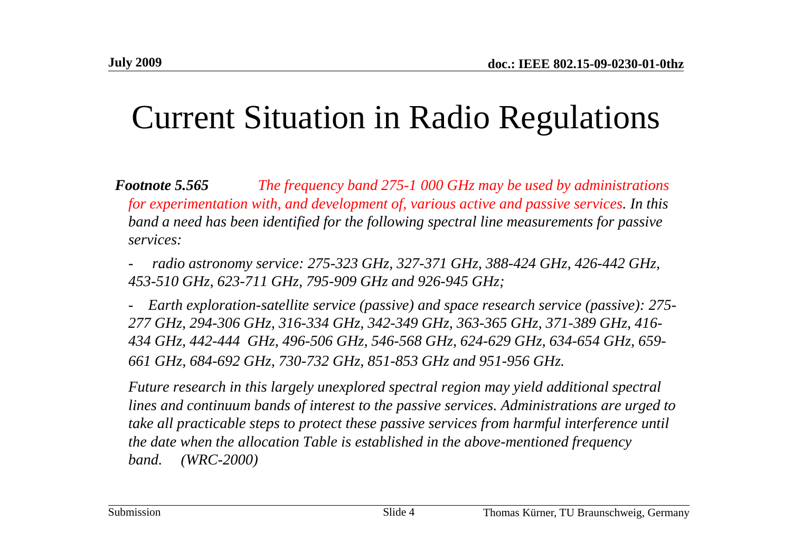### Current Situation in Radio Regulations

*Footnote 5.565 The frequency band 275-1 000 GHz may be used by administrations for experimentation with, and development of, various active and passive services. In this*  band a need has been identified for the following spectral line measurements for passive *services:*

 *radio astronomy service: 275-323 GHz, 327-371 GHz, 388-424 GHz, 426-442 GHz, 453-510 GH 623 z,-711 GH 795 z,-909 GH d 926 GHz and 926-945 GHz;*

*- Earth exploration-satellite service (passive) and space research service (passive): 275- 277 GHz, 294-306 GHz, 316-334 GHz, 342-349 GHz, 363-365 GHz, 371-389 GHz, 416-* 434 GHz, 442-444 GHz, 496-506 GHz, 546-568 GHz, 624-629 GHz, 634-654 GHz, 659-*661 GHz, 684-692 GHz, 730-732 GHz, 851-853 GHz and 951-956 GHz.*

*Future research in this largely unexplored spectral region may yield additional spectral*  lines and continuum bands of interest to the passive services. Administrations are urged to *take all practicable steps to protect these passive services from harmful interference until the date when the allocation Table is established in the above-mentioned frequency band. (WRC-2000)*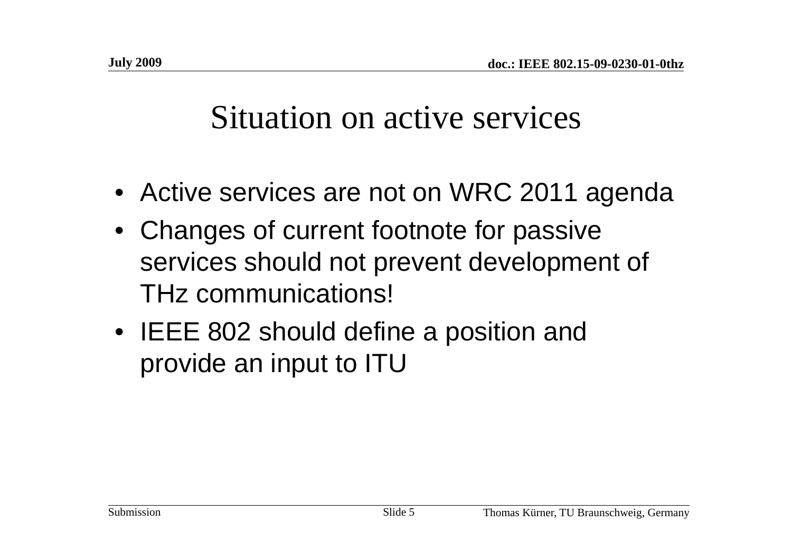#### Situation on active services

- Active services are not on WRC 2011 agenda
- Changes of current footnote for passive services should not prevent development of THz communications!
- IEEE 802 should define a position and provide an input to ITU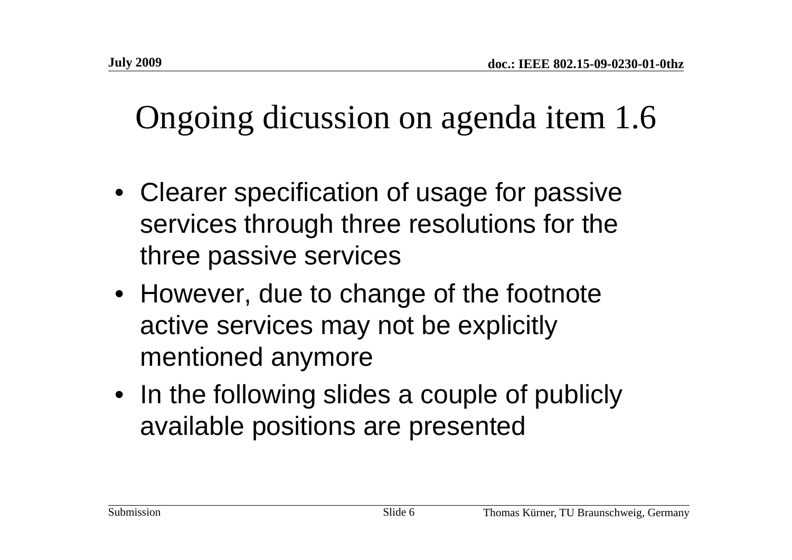# Ongoing dicussion on agenda item 1.6

- Clearer specification of usage for passive services through three resolutions for the three passive services
- However, due to change of the footnote active services may not be explicitly mentioned anymore
- In the following slides a couple of publicly available positions are presented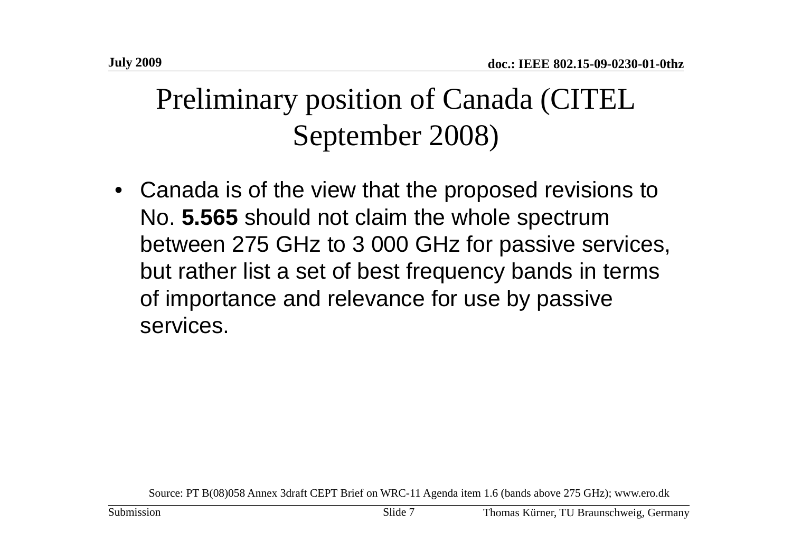#### Preliminary position of Canada (CITEL September 2008)

• Canada is of the view that the proposed revisions to No. **5 565 .** should not claim the whole spectrum between 275 GHz to 3 000 GHz for passive services, but rather list a set of best frequency bands in terms of importance and relevance for use by passive services.

Source: PT B(08)058 Annex 3draft CEPT Brief on WRC-11 Agenda item 1.6 (bands above 275 GHz); www.ero.dk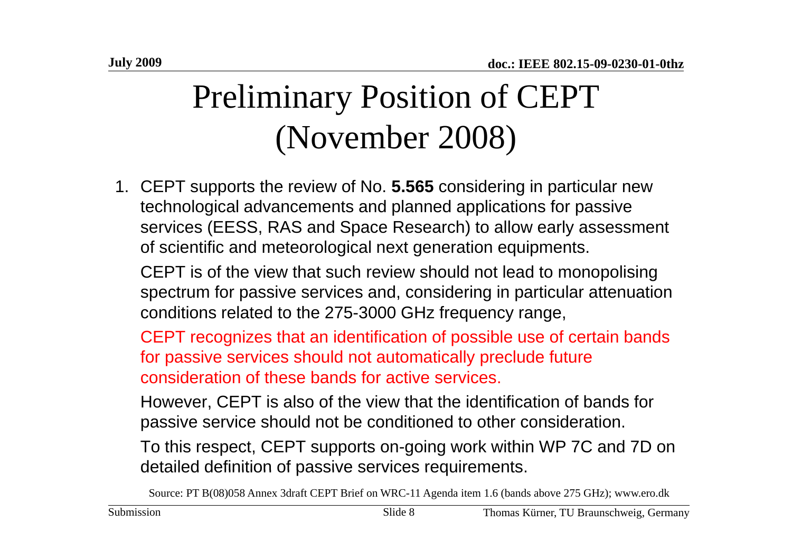# Preliminary Position of CEPT (November 2008)

1. CEPT supports the review of No. **5.565** considering in particular new technological advancements and planned applications for passive services (EESS, RAS and Space Research) to allow early assessment of scientific and meteorological next generation equipments.

CEPT is of the view that such review should not lead to monopolising spectrum for passive services and, considering in particular attenuation conditions related to the 275-3000 GHz frequency range,

CEPT recognizes that an identification of possible use of certain bands for passive services should not automatically preclude future consideration of these bands for active services.

However, CEPT is also of the view that the identification of bands for passive service should not be conditioned to other consideration.

To this respect, CEPT supports on-going work within WP 7C and 7D on detailed definition of passive services requirements.

Source: PT B(08)058 Annex 3draft CEPT Brief on WRC-11 Agenda item 1.6 (bands above 275 GHz); www.ero.dk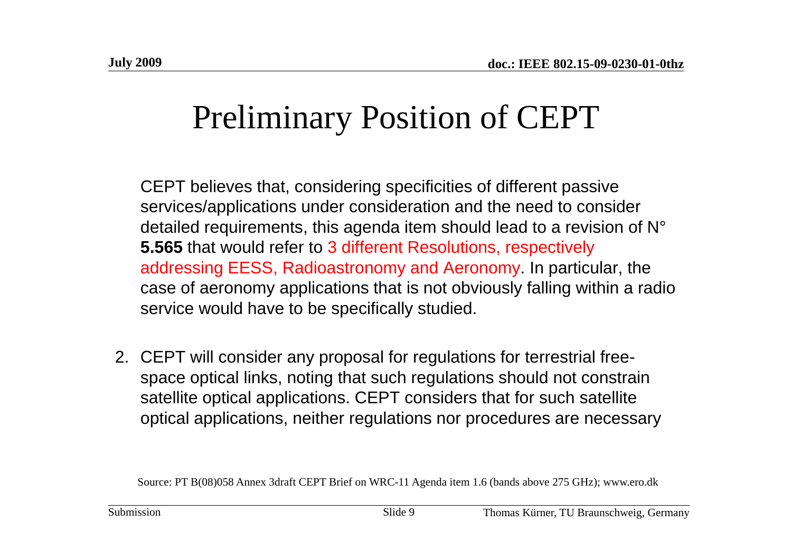# Preliminary Position of CEPT

CEPT believes that, considering specificities of different passive services/applications under consideration and the need to consider detailed requirements, this agenda item should lead to a revision of N° **5.565** that would refer to 3 different Resolutions, respectively addressing EESS, Radioastronomy and Aeronomy. In particular, the case of aeronomy applications that is not obviously falling within a radio service would have to be specifically studied.

2. CEPT will consider any proposal for regulations for terrestrial freespace optical links, noting that such regulations should not constrain satellite optical applications. CEPT considers that for such satellite optical applications, neither regulations nor procedures are necessary

Source: PT B(08)058 Annex 3draft CEPT Brief on WRC-11 Agenda item 1.6 (bands above 275 GHz); www.ero.dk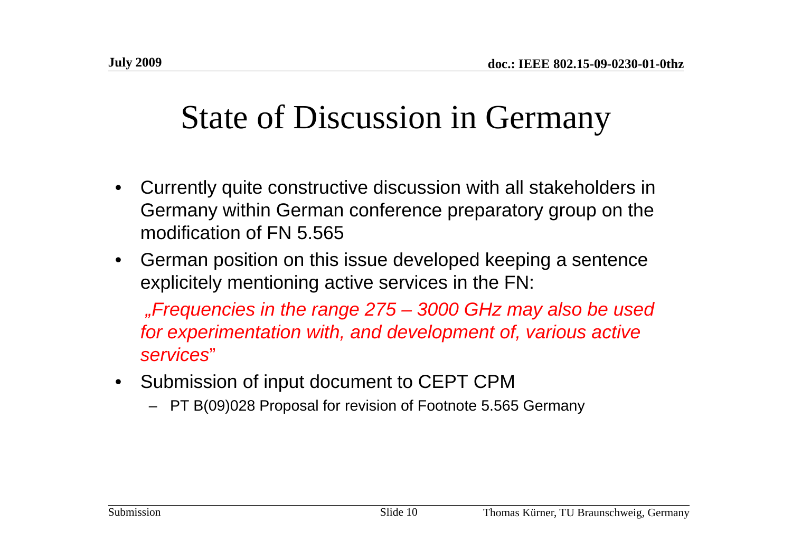### State of Discussion in Germany

- • Currently quite constructive discussion with all stakeholders in Germany within German conference preparatory group on the modification of FN 5.565
- $\bullet$  German position on this issue developed keeping a sentence explicitely mentioning active services in the FN:

*"Frequencies in the range 275 – 3000 GHz may also be used for experimentation with, and development of, various active services*"

- Submission of input document to CEPT CPM
	- PT B(09)028 Proposal for revision of Footnote 5.565 Germany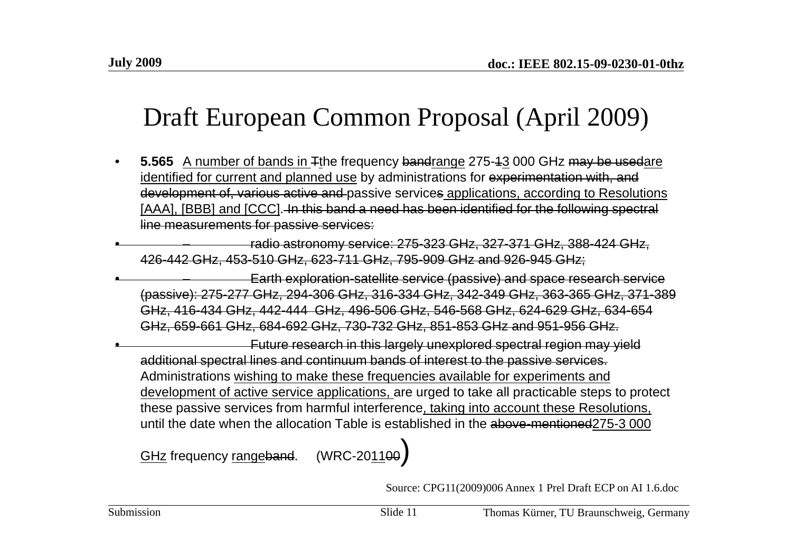#### Draft European Common Proposal (April 2009)

- • **5.565** A number of bands in Tthe frequency bandrange 275-13 000 GHz may be usedare identified for current and planned use by administrations for experimentation with, and development of, various active and passive services applications, according to Resolutions [AAA], [BBB] and [CCC]. In this band a need has been identified for the following spectral line measurements for passive services:
- • – radio astronomy service: 275-323 GHz, 327-371 GHz, 388-424 GHz, 426-442 GHz, 453-510 GHz, 623-711 GHz, 795-909 GHz and 926-945 GHz;
- • –Earth exploration-satellite service (passive) and space research service (passive): 275-277 GHz, 294-306 GHz, 316-334 GHz, 342-349 GHz, 363-365 GHz, 371-389 GHz, 416-434 GHz, 442-444 GHz, 496-506 GHz, 546-568 GHz, 624-629 GHz, 634-654 GHz, 659-661 GHz, 684-692 GHz, 730-732 GHz, 851-853 GHz and 951-956 GHz.

•Future research in this largely unexplored spectral region may yield additional spectral lines and continuum bands of interest to the passive services. Administrations wishing to make these frequencies available for experiments and development of active service applications, are urged to take all practicable steps to protect these passive services from harmful interference, taking into account these Resolutions, until the date when the allocation Table is established in the above-mentioned275-3 000

GHz frequency <u>range</u>band. (WRC-20<u>11</u>00**)** 

Source: CPG11(2009)006 Annex 1 Prel Draft ECP on AI 1.6.doc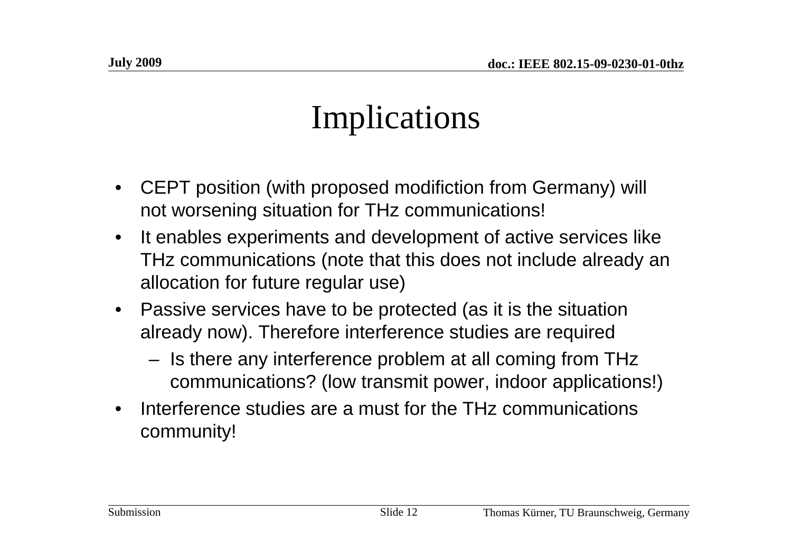# Implications

- • CEPT position (with proposed modifiction from Germany) will not worsening situation for THz communications!
- • It enables experiments and development of active services like THz communications (note that this does not include already an allocation for future regular use)
- Passive services have to be protected (as it is the situation already now). Therefore interference studies are required
	- Is there any interference problem at all coming from THz communications? (low transmit power, indoor applications!)
- •Interference studies are a must for the THz communications community!